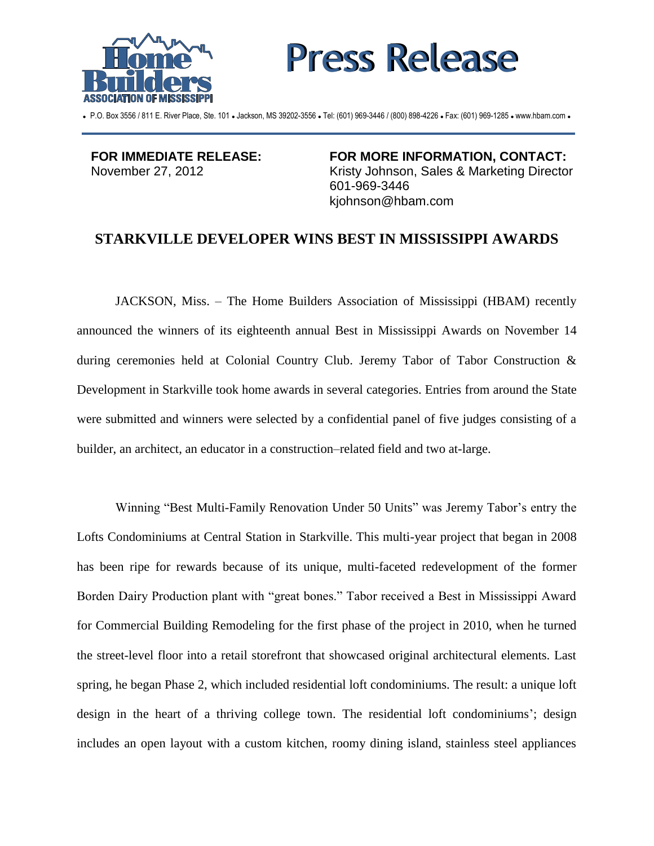



P.O. Box 3556 / 811 E. River Place, Ste. 101 . Jackson, MS 39202-3556 . Tel: (601) 969-3446 / (800) 898-4226 . Fax: (601) 969-1285 . www.hbam.com .

**FOR IMMEDIATE RELEASE:** November 27, 2012

**FOR MORE INFORMATION, CONTACT:** Kristy Johnson, Sales & Marketing Director 601-969-3446 kjohnson@hbam.com

## **STARKVILLE DEVELOPER WINS BEST IN MISSISSIPPI AWARDS**

JACKSON, Miss. – The Home Builders Association of Mississippi (HBAM) recently announced the winners of its eighteenth annual Best in Mississippi Awards on November 14 during ceremonies held at Colonial Country Club. Jeremy Tabor of Tabor Construction & Development in Starkville took home awards in several categories. Entries from around the State were submitted and winners were selected by a confidential panel of five judges consisting of a builder, an architect, an educator in a construction–related field and two at-large.

Winning "Best Multi-Family Renovation Under 50 Units" was Jeremy Tabor's entry the Lofts Condominiums at Central Station in Starkville. This multi-year project that began in 2008 has been ripe for rewards because of its unique, multi-faceted redevelopment of the former Borden Dairy Production plant with "great bones." Tabor received a Best in Mississippi Award for Commercial Building Remodeling for the first phase of the project in 2010, when he turned the street-level floor into a retail storefront that showcased original architectural elements. Last spring, he began Phase 2, which included residential loft condominiums. The result: a unique loft design in the heart of a thriving college town. The residential loft condominiums'; design includes an open layout with a custom kitchen, roomy dining island, stainless steel appliances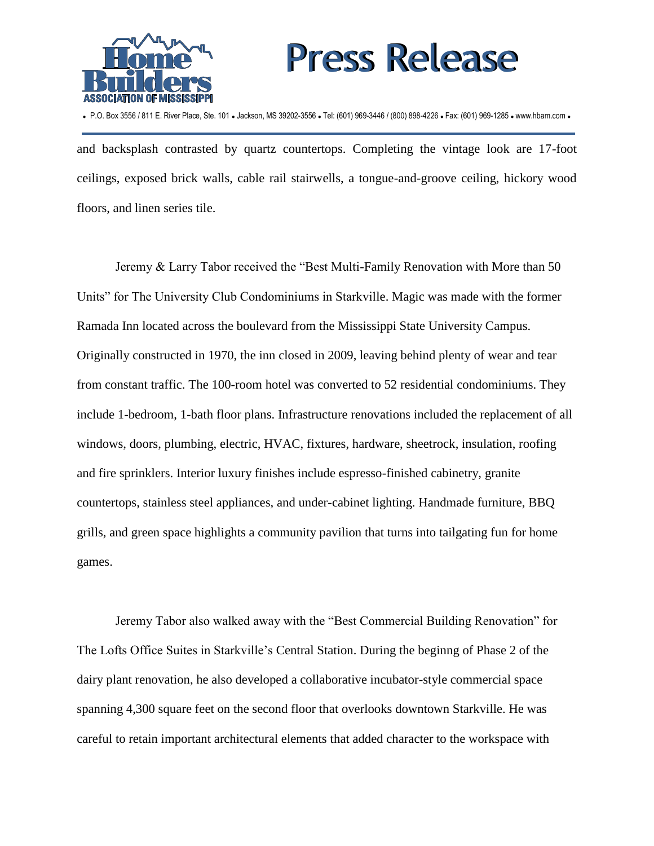



P.O. Box 3556 / 811 E. River Place, Ste. 101 . Jackson, MS 39202-3556 . Tel: (601) 969-3446 / (800) 898-4226 . Fax: (601) 969-1285 . www.hbam.com .

and backsplash contrasted by quartz countertops. Completing the vintage look are 17-foot ceilings, exposed brick walls, cable rail stairwells, a tongue-and-groove ceiling, hickory wood floors, and linen series tile.

Jeremy & Larry Tabor received the "Best Multi-Family Renovation with More than 50 Units" for The University Club Condominiums in Starkville. Magic was made with the former Ramada Inn located across the boulevard from the Mississippi State University Campus. Originally constructed in 1970, the inn closed in 2009, leaving behind plenty of wear and tear from constant traffic. The 100-room hotel was converted to 52 residential condominiums. They include 1-bedroom, 1-bath floor plans. Infrastructure renovations included the replacement of all windows, doors, plumbing, electric, HVAC, fixtures, hardware, sheetrock, insulation, roofing and fire sprinklers. Interior luxury finishes include espresso-finished cabinetry, granite countertops, stainless steel appliances, and under-cabinet lighting. Handmade furniture, BBQ grills, and green space highlights a community pavilion that turns into tailgating fun for home games.

Jeremy Tabor also walked away with the "Best Commercial Building Renovation" for The Lofts Office Suites in Starkville's Central Station. During the beginng of Phase 2 of the dairy plant renovation, he also developed a collaborative incubator-style commercial space spanning 4,300 square feet on the second floor that overlooks downtown Starkville. He was careful to retain important architectural elements that added character to the workspace with